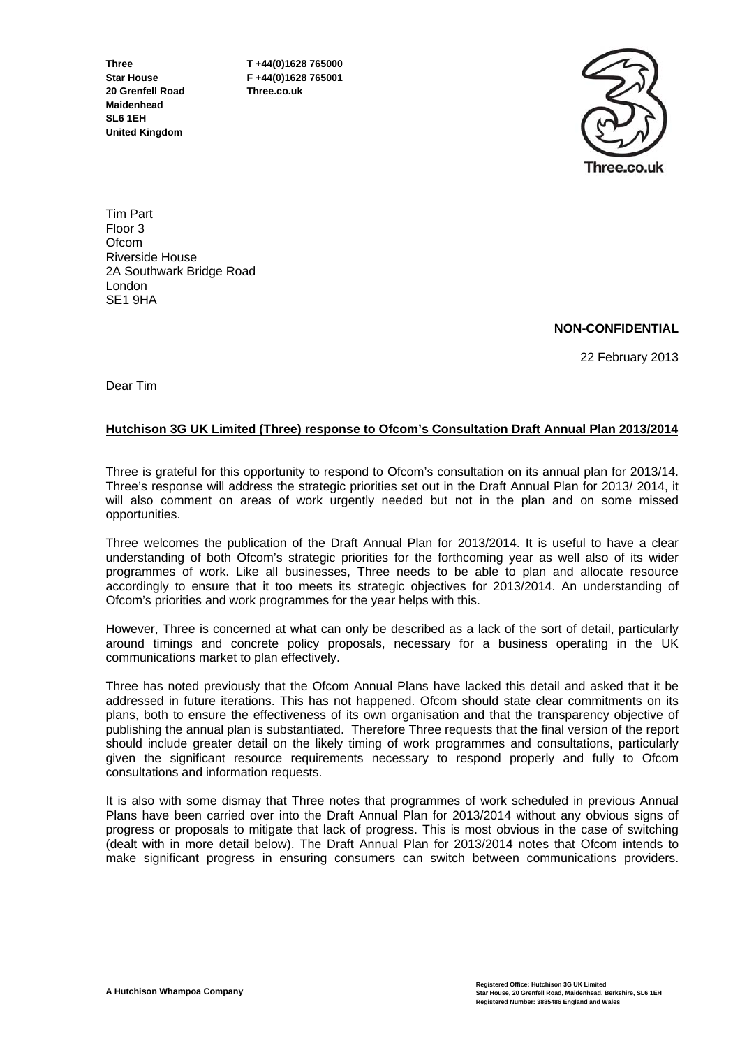**20 Grenfell Road Three.co.uk Maidenhead SL6 1EH United Kingdom** 

**Three T +44(0)1628 765000 Star House F +44(0)1628 765001** 



Tim Part Floor 3 Ofcom Riverside House 2A Southwark Bridge Road London SE1 9HA

# **NON-CONFIDENTIAL**

22 February 2013

Dear Tim

## **Hutchison 3G UK Limited (Three) response to Ofcom's Consultation Draft Annual Plan 2013/2014**

Three is grateful for this opportunity to respond to Ofcom's consultation on its annual plan for 2013/14. Three's response will address the strategic priorities set out in the Draft Annual Plan for 2013/ 2014, it will also comment on areas of work urgently needed but not in the plan and on some missed opportunities.

Three welcomes the publication of the Draft Annual Plan for 2013/2014. It is useful to have a clear understanding of both Ofcom's strategic priorities for the forthcoming year as well also of its wider programmes of work. Like all businesses, Three needs to be able to plan and allocate resource accordingly to ensure that it too meets its strategic objectives for 2013/2014. An understanding of Ofcom's priorities and work programmes for the year helps with this.

However, Three is concerned at what can only be described as a lack of the sort of detail, particularly around timings and concrete policy proposals, necessary for a business operating in the UK communications market to plan effectively.

Three has noted previously that the Ofcom Annual Plans have lacked this detail and asked that it be addressed in future iterations. This has not happened. Ofcom should state clear commitments on its plans, both to ensure the effectiveness of its own organisation and that the transparency objective of publishing the annual plan is substantiated. Therefore Three requests that the final version of the report should include greater detail on the likely timing of work programmes and consultations, particularly given the significant resource requirements necessary to respond properly and fully to Ofcom consultations and information requests.

It is also with some dismay that Three notes that programmes of work scheduled in previous Annual Plans have been carried over into the Draft Annual Plan for 2013/2014 without any obvious signs of progress or proposals to mitigate that lack of progress. This is most obvious in the case of switching (dealt with in more detail below). The Draft Annual Plan for 2013/2014 notes that Ofcom intends to make significant progress in ensuring consumers can switch between communications providers.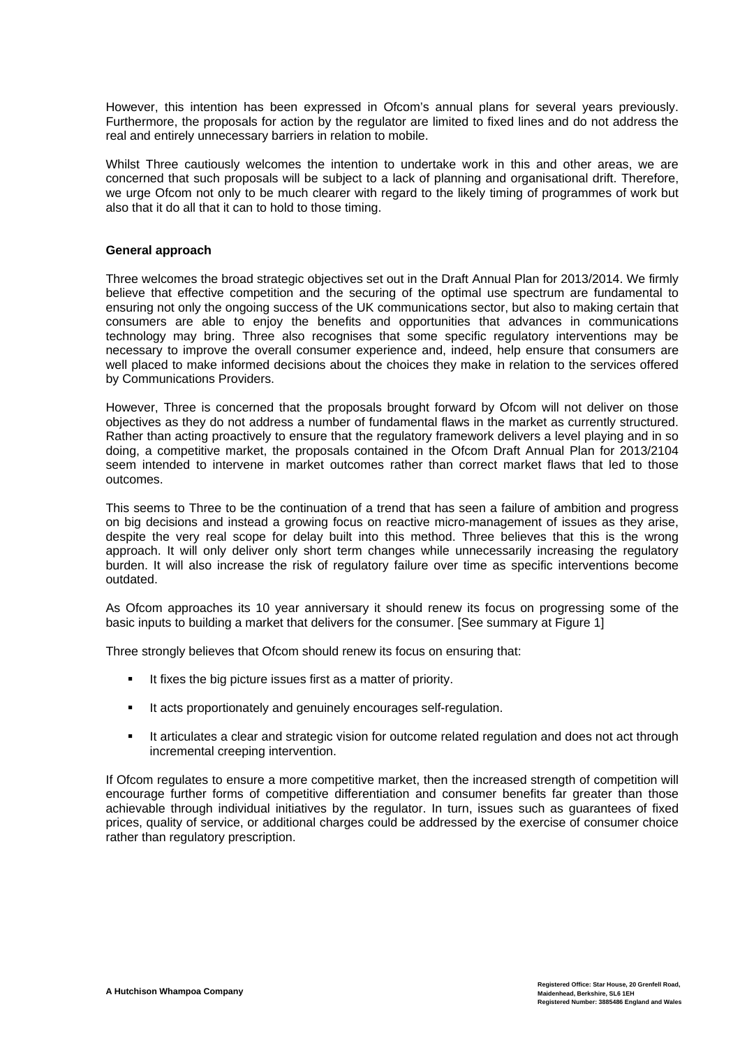However, this intention has been expressed in Ofcom's annual plans for several years previously. Furthermore, the proposals for action by the regulator are limited to fixed lines and do not address the real and entirely unnecessary barriers in relation to mobile.

Whilst Three cautiously welcomes the intention to undertake work in this and other areas, we are concerned that such proposals will be subject to a lack of planning and organisational drift. Therefore, we urge Ofcom not only to be much clearer with regard to the likely timing of programmes of work but also that it do all that it can to hold to those timing.

### **General approach**

Three welcomes the broad strategic objectives set out in the Draft Annual Plan for 2013/2014. We firmly believe that effective competition and the securing of the optimal use spectrum are fundamental to ensuring not only the ongoing success of the UK communications sector, but also to making certain that consumers are able to enjoy the benefits and opportunities that advances in communications technology may bring. Three also recognises that some specific regulatory interventions may be necessary to improve the overall consumer experience and, indeed, help ensure that consumers are well placed to make informed decisions about the choices they make in relation to the services offered by Communications Providers.

However, Three is concerned that the proposals brought forward by Ofcom will not deliver on those objectives as they do not address a number of fundamental flaws in the market as currently structured. Rather than acting proactively to ensure that the regulatory framework delivers a level playing and in so doing, a competitive market, the proposals contained in the Ofcom Draft Annual Plan for 2013/2104 seem intended to intervene in market outcomes rather than correct market flaws that led to those outcomes.

This seems to Three to be the continuation of a trend that has seen a failure of ambition and progress on big decisions and instead a growing focus on reactive micro-management of issues as they arise, despite the very real scope for delay built into this method. Three believes that this is the wrong approach. It will only deliver only short term changes while unnecessarily increasing the regulatory burden. It will also increase the risk of regulatory failure over time as specific interventions become outdated.

As Ofcom approaches its 10 year anniversary it should renew its focus on progressing some of the basic inputs to building a market that delivers for the consumer. [See summary at Figure 1]

Three strongly believes that Ofcom should renew its focus on ensuring that:

- It fixes the big picture issues first as a matter of priority.
- It acts proportionately and genuinely encourages self-regulation.
- It articulates a clear and strategic vision for outcome related regulation and does not act through incremental creeping intervention.

If Ofcom regulates to ensure a more competitive market, then the increased strength of competition will encourage further forms of competitive differentiation and consumer benefits far greater than those achievable through individual initiatives by the regulator. In turn, issues such as guarantees of fixed prices, quality of service, or additional charges could be addressed by the exercise of consumer choice rather than regulatory prescription.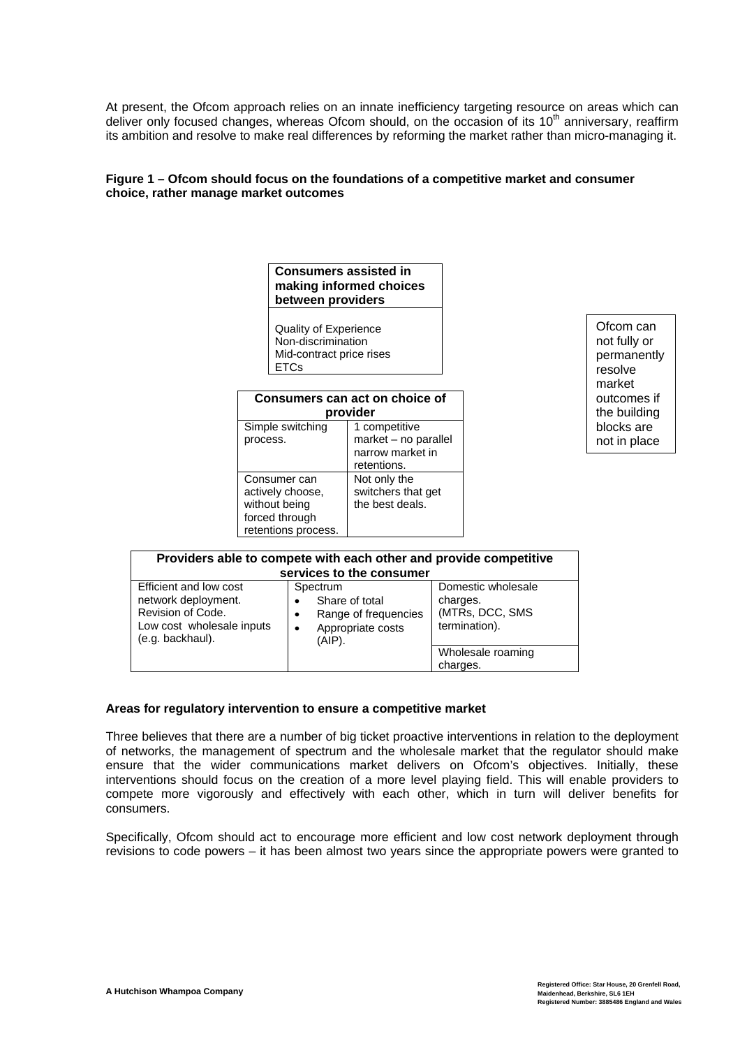At present, the Ofcom approach relies on an innate inefficiency targeting resource on areas which can deliver only focused changes, whereas Ofcom should, on the occasion of its 10<sup>th</sup> anniversary, reaffirm its ambition and resolve to make real differences by reforming the market rather than micro-managing it.

## **Figure 1 – Ofcom should focus on the foundations of a competitive market and consumer choice, rather manage market outcomes**

|                                                                                                                                                                                     |                                                                                                     | <b>Consumers assisted in</b><br>making informed choices<br>between providers |                                                                                                                                   |  |                                                                   |                                                                                              |
|-------------------------------------------------------------------------------------------------------------------------------------------------------------------------------------|-----------------------------------------------------------------------------------------------------|------------------------------------------------------------------------------|-----------------------------------------------------------------------------------------------------------------------------------|--|-------------------------------------------------------------------|----------------------------------------------------------------------------------------------|
| <b>Quality of Experience</b><br>Non-discrimination<br>Mid-contract price rises<br><b>ETCs</b>                                                                                       |                                                                                                     |                                                                              |                                                                                                                                   |  |                                                                   | Ofcom can<br>not fully or<br>permanently<br>resolve<br>market<br>outcomes if<br>the building |
|                                                                                                                                                                                     | Consumers can act on choice of<br>provider                                                          |                                                                              |                                                                                                                                   |  |                                                                   |                                                                                              |
|                                                                                                                                                                                     | Simple switching<br>process.<br>Consumer can<br>actively choose,<br>without being<br>forced through |                                                                              | 1 competitive<br>market - no parallel<br>narrow market in<br>retentions.<br>Not only the<br>switchers that get<br>the best deals. |  |                                                                   | blocks are<br>not in place                                                                   |
|                                                                                                                                                                                     |                                                                                                     |                                                                              |                                                                                                                                   |  |                                                                   |                                                                                              |
|                                                                                                                                                                                     |                                                                                                     | retentions process.                                                          |                                                                                                                                   |  |                                                                   |                                                                                              |
|                                                                                                                                                                                     |                                                                                                     |                                                                              | services to the consumer                                                                                                          |  | Providers able to compete with each other and provide competitive |                                                                                              |
| Efficient and low cost<br>Spectrum<br>network deployment.<br>$\bullet$<br>Revision of Code.<br>$\bullet$<br>Low cost wholesale inputs<br>$\bullet$<br>(e.g. backhaul).<br>$(AIP)$ . |                                                                                                     | Share of total<br>Range of frequencies<br>Appropriate costs                  | Domestic wholesale<br>charges.<br>(MTRs, DCC, SMS<br>termination).<br>Wholesale roaming                                           |  |                                                                   |                                                                                              |

### **Areas for regulatory intervention to ensure a competitive market**

Three believes that there are a number of big ticket proactive interventions in relation to the deployment of networks, the management of spectrum and the wholesale market that the regulator should make ensure that the wider communications market delivers on Ofcom's objectives. Initially, these interventions should focus on the creation of a more level playing field. This will enable providers to compete more vigorously and effectively with each other, which in turn will deliver benefits for consumers.

charges.

Specifically, Ofcom should act to encourage more efficient and low cost network deployment through revisions to code powers – it has been almost two years since the appropriate powers were granted to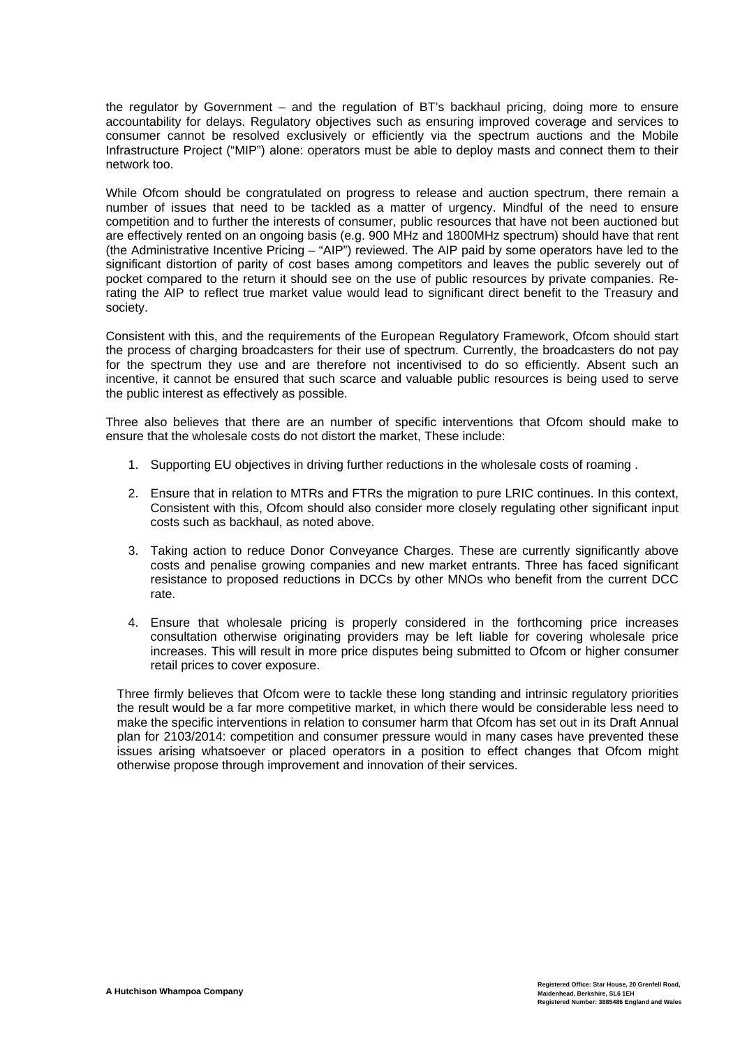the regulator by Government – and the regulation of BT's backhaul pricing, doing more to ensure accountability for delays. Regulatory objectives such as ensuring improved coverage and services to consumer cannot be resolved exclusively or efficiently via the spectrum auctions and the Mobile Infrastructure Project ("MIP") alone: operators must be able to deploy masts and connect them to their network too.

While Ofcom should be congratulated on progress to release and auction spectrum, there remain a number of issues that need to be tackled as a matter of urgency. Mindful of the need to ensure competition and to further the interests of consumer, public resources that have not been auctioned but are effectively rented on an ongoing basis (e.g. 900 MHz and 1800MHz spectrum) should have that rent (the Administrative Incentive Pricing – "AIP") reviewed. The AIP paid by some operators have led to the significant distortion of parity of cost bases among competitors and leaves the public severely out of pocket compared to the return it should see on the use of public resources by private companies. Rerating the AIP to reflect true market value would lead to significant direct benefit to the Treasury and society.

Consistent with this, and the requirements of the European Regulatory Framework, Ofcom should start the process of charging broadcasters for their use of spectrum. Currently, the broadcasters do not pay for the spectrum they use and are therefore not incentivised to do so efficiently. Absent such an incentive, it cannot be ensured that such scarce and valuable public resources is being used to serve the public interest as effectively as possible.

Three also believes that there are an number of specific interventions that Ofcom should make to ensure that the wholesale costs do not distort the market, These include:

- 1. Supporting EU objectives in driving further reductions in the wholesale costs of roaming .
- 2. Ensure that in relation to MTRs and FTRs the migration to pure LRIC continues. In this context, Consistent with this, Ofcom should also consider more closely regulating other significant input costs such as backhaul, as noted above.
- 3. Taking action to reduce Donor Conveyance Charges. These are currently significantly above costs and penalise growing companies and new market entrants. Three has faced significant resistance to proposed reductions in DCCs by other MNOs who benefit from the current DCC rate.
- 4. Ensure that wholesale pricing is properly considered in the forthcoming price increases consultation otherwise originating providers may be left liable for covering wholesale price increases. This will result in more price disputes being submitted to Ofcom or higher consumer retail prices to cover exposure.

Three firmly believes that Ofcom were to tackle these long standing and intrinsic regulatory priorities the result would be a far more competitive market, in which there would be considerable less need to make the specific interventions in relation to consumer harm that Ofcom has set out in its Draft Annual plan for 2103/2014: competition and consumer pressure would in many cases have prevented these issues arising whatsoever or placed operators in a position to effect changes that Ofcom might otherwise propose through improvement and innovation of their services.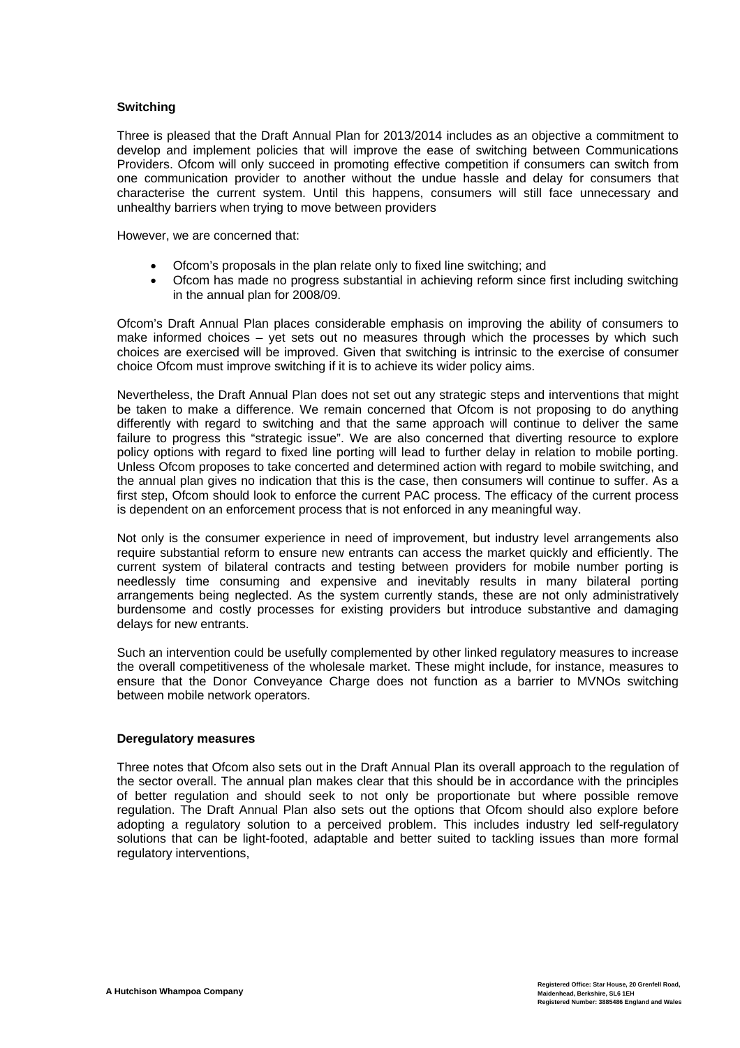### **Switching**

Three is pleased that the Draft Annual Plan for 2013/2014 includes as an objective a commitment to develop and implement policies that will improve the ease of switching between Communications Providers. Ofcom will only succeed in promoting effective competition if consumers can switch from one communication provider to another without the undue hassle and delay for consumers that characterise the current system. Until this happens, consumers will still face unnecessary and unhealthy barriers when trying to move between providers

However, we are concerned that:

- Ofcom's proposals in the plan relate only to fixed line switching; and
- Ofcom has made no progress substantial in achieving reform since first including switching in the annual plan for 2008/09.

Ofcom's Draft Annual Plan places considerable emphasis on improving the ability of consumers to make informed choices – yet sets out no measures through which the processes by which such choices are exercised will be improved. Given that switching is intrinsic to the exercise of consumer choice Ofcom must improve switching if it is to achieve its wider policy aims.

Nevertheless, the Draft Annual Plan does not set out any strategic steps and interventions that might be taken to make a difference. We remain concerned that Ofcom is not proposing to do anything differently with regard to switching and that the same approach will continue to deliver the same failure to progress this "strategic issue". We are also concerned that diverting resource to explore policy options with regard to fixed line porting will lead to further delay in relation to mobile porting. Unless Ofcom proposes to take concerted and determined action with regard to mobile switching, and the annual plan gives no indication that this is the case, then consumers will continue to suffer. As a first step, Ofcom should look to enforce the current PAC process. The efficacy of the current process is dependent on an enforcement process that is not enforced in any meaningful way.

Not only is the consumer experience in need of improvement, but industry level arrangements also require substantial reform to ensure new entrants can access the market quickly and efficiently. The current system of bilateral contracts and testing between providers for mobile number porting is needlessly time consuming and expensive and inevitably results in many bilateral porting arrangements being neglected. As the system currently stands, these are not only administratively burdensome and costly processes for existing providers but introduce substantive and damaging delays for new entrants.

Such an intervention could be usefully complemented by other linked regulatory measures to increase the overall competitiveness of the wholesale market. These might include, for instance, measures to ensure that the Donor Conveyance Charge does not function as a barrier to MVNOs switching between mobile network operators.

### **Deregulatory measures**

Three notes that Ofcom also sets out in the Draft Annual Plan its overall approach to the regulation of the sector overall. The annual plan makes clear that this should be in accordance with the principles of better regulation and should seek to not only be proportionate but where possible remove regulation. The Draft Annual Plan also sets out the options that Ofcom should also explore before adopting a regulatory solution to a perceived problem. This includes industry led self-regulatory solutions that can be light-footed, adaptable and better suited to tackling issues than more formal regulatory interventions,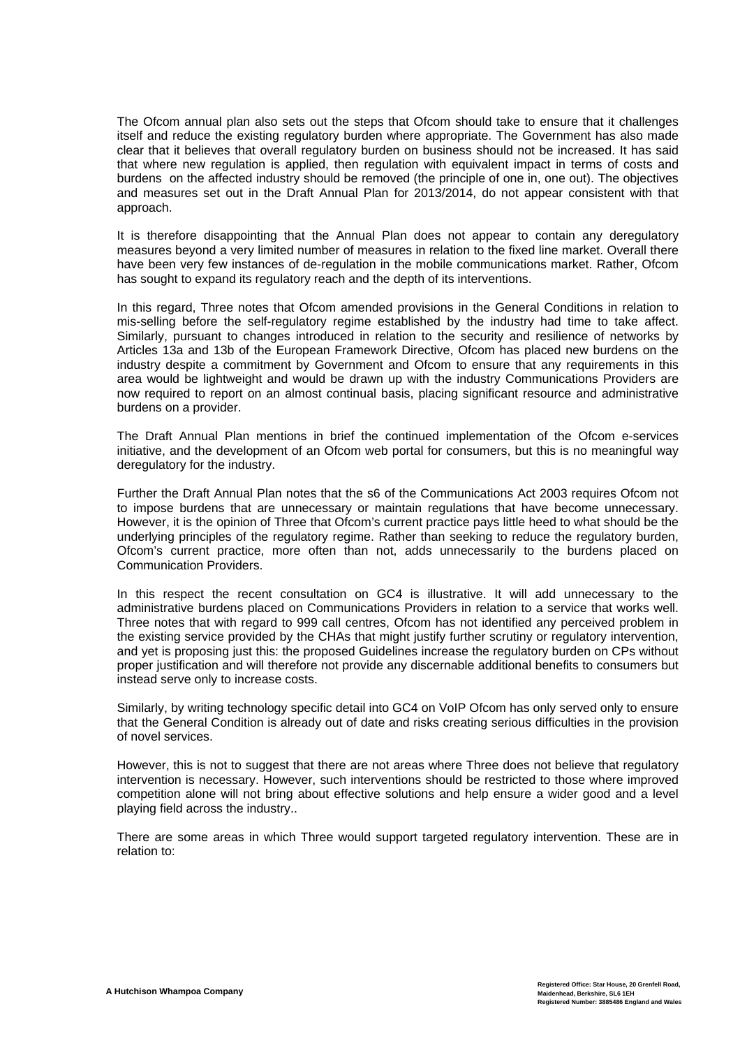The Ofcom annual plan also sets out the steps that Ofcom should take to ensure that it challenges itself and reduce the existing regulatory burden where appropriate. The Government has also made clear that it believes that overall regulatory burden on business should not be increased. It has said that where new regulation is applied, then regulation with equivalent impact in terms of costs and burdens on the affected industry should be removed (the principle of one in, one out). The objectives and measures set out in the Draft Annual Plan for 2013/2014, do not appear consistent with that approach.

It is therefore disappointing that the Annual Plan does not appear to contain any deregulatory measures beyond a very limited number of measures in relation to the fixed line market. Overall there have been very few instances of de-regulation in the mobile communications market. Rather, Ofcom has sought to expand its regulatory reach and the depth of its interventions.

In this regard, Three notes that Ofcom amended provisions in the General Conditions in relation to mis-selling before the self-regulatory regime established by the industry had time to take affect. Similarly, pursuant to changes introduced in relation to the security and resilience of networks by Articles 13a and 13b of the European Framework Directive, Ofcom has placed new burdens on the industry despite a commitment by Government and Ofcom to ensure that any requirements in this area would be lightweight and would be drawn up with the industry Communications Providers are now required to report on an almost continual basis, placing significant resource and administrative burdens on a provider.

The Draft Annual Plan mentions in brief the continued implementation of the Ofcom e-services initiative, and the development of an Ofcom web portal for consumers, but this is no meaningful way deregulatory for the industry.

Further the Draft Annual Plan notes that the s6 of the Communications Act 2003 requires Ofcom not to impose burdens that are unnecessary or maintain regulations that have become unnecessary. However, it is the opinion of Three that Ofcom's current practice pays little heed to what should be the underlying principles of the regulatory regime. Rather than seeking to reduce the regulatory burden, Ofcom's current practice, more often than not, adds unnecessarily to the burdens placed on Communication Providers.

In this respect the recent consultation on GC4 is illustrative. It will add unnecessary to the administrative burdens placed on Communications Providers in relation to a service that works well. Three notes that with regard to 999 call centres, Ofcom has not identified any perceived problem in the existing service provided by the CHAs that might justify further scrutiny or regulatory intervention, and yet is proposing just this: the proposed Guidelines increase the regulatory burden on CPs without proper justification and will therefore not provide any discernable additional benefits to consumers but instead serve only to increase costs.

Similarly, by writing technology specific detail into GC4 on VoIP Ofcom has only served only to ensure that the General Condition is already out of date and risks creating serious difficulties in the provision of novel services.

However, this is not to suggest that there are not areas where Three does not believe that regulatory intervention is necessary. However, such interventions should be restricted to those where improved competition alone will not bring about effective solutions and help ensure a wider good and a level playing field across the industry..

There are some areas in which Three would support targeted regulatory intervention. These are in relation to: